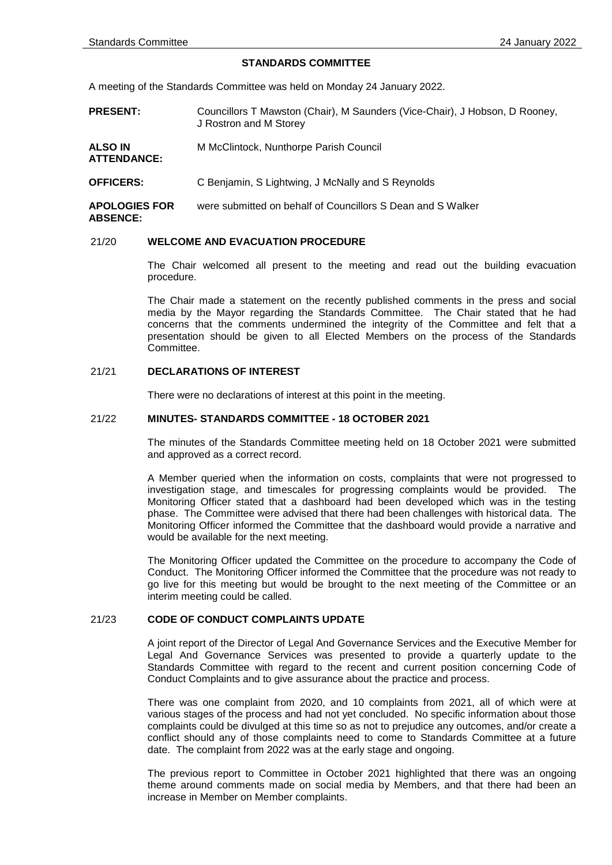### **STANDARDS COMMITTEE**

A meeting of the Standards Committee was held on Monday 24 January 2022.

- **PRESENT:** Councillors T Mawston (Chair), M Saunders (Vice-Chair), J Hobson, D Rooney, J Rostron and M Storey
- **ALSO IN ATTENDANCE:** M McClintock, Nunthorpe Parish Council
- **OFFICERS:** C Benjamin, S Lightwing, J McNally and S Reynolds

**APOLOGIES FOR ABSENCE:** were submitted on behalf of Councillors S Dean and S Walker

## 21/20 **WELCOME AND EVACUATION PROCEDURE**

The Chair welcomed all present to the meeting and read out the building evacuation procedure.

The Chair made a statement on the recently published comments in the press and social media by the Mayor regarding the Standards Committee. The Chair stated that he had concerns that the comments undermined the integrity of the Committee and felt that a presentation should be given to all Elected Members on the process of the Standards Committee.

#### 21/21 **DECLARATIONS OF INTEREST**

There were no declarations of interest at this point in the meeting.

## 21/22 **MINUTES- STANDARDS COMMITTEE - 18 OCTOBER 2021**

The minutes of the Standards Committee meeting held on 18 October 2021 were submitted and approved as a correct record.

A Member queried when the information on costs, complaints that were not progressed to investigation stage, and timescales for progressing complaints would be provided. The Monitoring Officer stated that a dashboard had been developed which was in the testing phase. The Committee were advised that there had been challenges with historical data. The Monitoring Officer informed the Committee that the dashboard would provide a narrative and would be available for the next meeting.

The Monitoring Officer updated the Committee on the procedure to accompany the Code of Conduct. The Monitoring Officer informed the Committee that the procedure was not ready to go live for this meeting but would be brought to the next meeting of the Committee or an interim meeting could be called.

## 21/23 **CODE OF CONDUCT COMPLAINTS UPDATE**

A joint report of the Director of Legal And Governance Services and the Executive Member for Legal And Governance Services was presented to provide a quarterly update to the Standards Committee with regard to the recent and current position concerning Code of Conduct Complaints and to give assurance about the practice and process.

There was one complaint from 2020, and 10 complaints from 2021, all of which were at various stages of the process and had not yet concluded. No specific information about those complaints could be divulged at this time so as not to prejudice any outcomes, and/or create a conflict should any of those complaints need to come to Standards Committee at a future date. The complaint from 2022 was at the early stage and ongoing.

The previous report to Committee in October 2021 highlighted that there was an ongoing theme around comments made on social media by Members, and that there had been an increase in Member on Member complaints.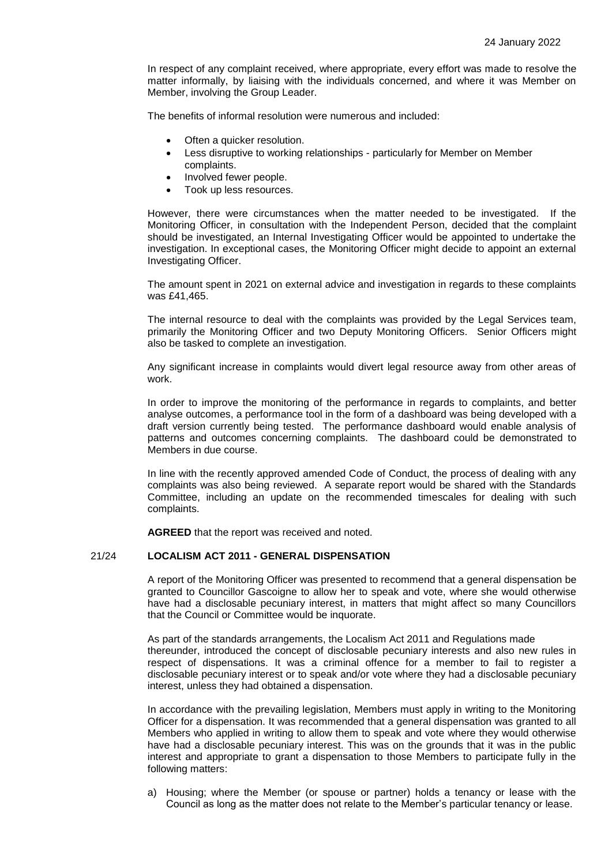In respect of any complaint received, where appropriate, every effort was made to resolve the matter informally, by liaising with the individuals concerned, and where it was Member on Member, involving the Group Leader.

The benefits of informal resolution were numerous and included:

- Often a quicker resolution.
- Less disruptive to working relationships particularly for Member on Member complaints.
- Involved fewer people.
- Took up less resources.

However, there were circumstances when the matter needed to be investigated. If the Monitoring Officer, in consultation with the Independent Person, decided that the complaint should be investigated, an Internal Investigating Officer would be appointed to undertake the investigation. In exceptional cases, the Monitoring Officer might decide to appoint an external Investigating Officer.

The amount spent in 2021 on external advice and investigation in regards to these complaints was £41,465.

The internal resource to deal with the complaints was provided by the Legal Services team, primarily the Monitoring Officer and two Deputy Monitoring Officers. Senior Officers might also be tasked to complete an investigation.

Any significant increase in complaints would divert legal resource away from other areas of work.

In order to improve the monitoring of the performance in regards to complaints, and better analyse outcomes, a performance tool in the form of a dashboard was being developed with a draft version currently being tested. The performance dashboard would enable analysis of patterns and outcomes concerning complaints. The dashboard could be demonstrated to Members in due course.

In line with the recently approved amended Code of Conduct, the process of dealing with any complaints was also being reviewed. A separate report would be shared with the Standards Committee, including an update on the recommended timescales for dealing with such complaints.

**AGREED** that the report was received and noted.

# 21/24 **LOCALISM ACT 2011 - GENERAL DISPENSATION**

A report of the Monitoring Officer was presented to recommend that a general dispensation be granted to Councillor Gascoigne to allow her to speak and vote, where she would otherwise have had a disclosable pecuniary interest, in matters that might affect so many Councillors that the Council or Committee would be inquorate.

As part of the standards arrangements, the Localism Act 2011 and Regulations made thereunder, introduced the concept of disclosable pecuniary interests and also new rules in respect of dispensations. It was a criminal offence for a member to fail to register a disclosable pecuniary interest or to speak and/or vote where they had a disclosable pecuniary interest, unless they had obtained a dispensation.

In accordance with the prevailing legislation, Members must apply in writing to the Monitoring Officer for a dispensation. It was recommended that a general dispensation was granted to all Members who applied in writing to allow them to speak and vote where they would otherwise have had a disclosable pecuniary interest. This was on the grounds that it was in the public interest and appropriate to grant a dispensation to those Members to participate fully in the following matters:

a) Housing; where the Member (or spouse or partner) holds a tenancy or lease with the Council as long as the matter does not relate to the Member's particular tenancy or lease.